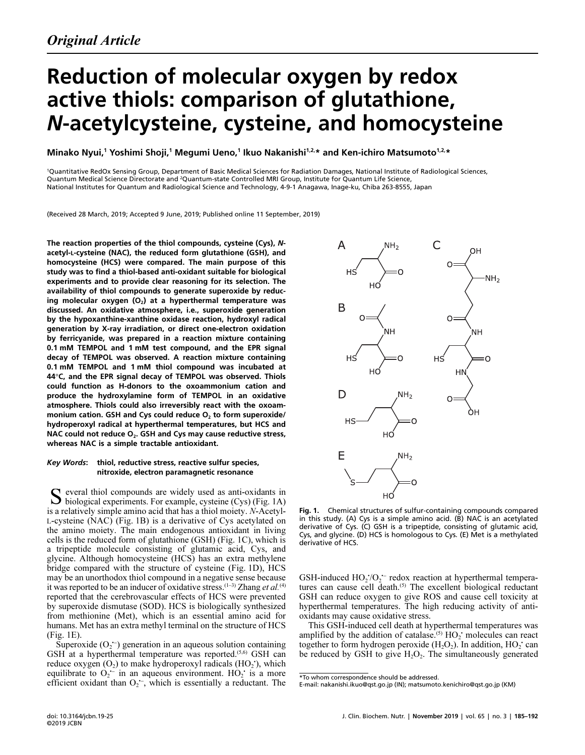# Reduction of molecular oxygen by redox active thiols: comparison of glutathione, N-acetylcysteine, cysteine, and homocysteine

Minako Nyui,<sup>1</sup> Yoshimi Shoji,<sup>1</sup> Megumi Ueno,<sup>1</sup> Ikuo Nakanishi<sup>1,2,</sup>\* and Ken-ichiro Matsumoto<sup>1,2,</sup>\*

1 Quantitative RedOx Sensing Group, Department of Basic Medical Sciences for Radiation Damages, National Institute of Radiological Sciences, Quantum Medical Science Directorate and <sup>2</sup>Quantum-state Controlled MRI Group, Institute for Quantum Life Science, National Institutes for Quantum and Radiological Science and Technology, 4-9-1 Anagawa, Inage-ku, Chiba 263-8555, Japan

(Received 28 March, 2019; Accepted 9 June, 2019; Published online 11 September, 2019)

The reaction properties of the thiol compounds, cysteine (Cys), Nacetyl-L-cysteine (NAC), the reduced form glutathione (GSH), and homocysteine (HCS) were compared. The main purpose of this study was to find a thiol-based anti-oxidant suitable for biological experiments and to provide clear reasoning for its selection. The availability of thiol compounds to generate superoxide by reduc ing molecular oxygen  $(O_2)$  at a hyperthermal temperature was discussed. An oxidative atmosphere, i.e., superoxide generation by the hypoxanthine-xanthine oxidase reaction, hydroxyl radical generation by X-ray irradiation, or direct one-electron oxidation by ferricyanide, was prepared in a reaction mixture containing 0.1 mM TEMPOL and 1 mM test compound, and the EPR signal decay of TEMPOL was observed. A reaction mixture containing 0.1 mM TEMPOL and 1 mM thiol compound was incubated at <sup>44</sup>°C, and the EPR signal decay of TEMPOL was observed. Thiols could function as H-donors to the oxoammonium cation and produce the hydroxylamine form of TEMPOL in an oxidative atmosphere. Thiols could also irreversibly react with the oxoam monium cation. GSH and Cys could reduce  $O<sub>2</sub>$  to form superoxide/ hydroperoxyl radical at hyperthermal temperatures, but HCS and NAC could not reduce  $O<sub>2</sub>$ . GSH and Cys may cause reductive stress, whereas NAC is a simple tractable antioxidant.

## Key Words: thiol, reductive stress, reactive sulfur species, nitroxide, electron paramagnetic resonance

everal thiol compounds are widely used as anti-oxidants in S everal thiol compounds are widely used as anti-oxidants in biological experiments. For example, cysteine (Cys) (Fig. 1A) is a relatively simple amino acid that has a thiol moiety. N-Acetyl-L-cysteine (NAC) (Fig. 1B) is a derivative of Cys acetylated on the amino moiety. The main endogenous antioxidant in living cells is the reduced form of glutathione (GSH) (Fig. 1C), which is a tripeptide molecule consisting of glutamic acid, Cys, and glycine. Although homocysteine (HCS) has an extra methylene bridge compared with the structure of cysteine (Fig. 1D), HCS may be an unorthodox thiol compound in a negative sense because it was reported to be an inducer of oxidative stress.<sup>(1-3)</sup> Zhang et al.<sup>(4)</sup> reported that the cerebrovascular effects of HCS were prevented by superoxide dismutase (SOD). HCS is biologically synthesized from methionine (Met), which is an essential amino acid for humans. Met has an extra methyl terminal on the structure of HCS (Fig. 1E). )<br>ar<br>--

Superoxide  $(O_2^-)$  generation in an aqueous solution containing GSH at a hyperthermal temperature was reported.<sup> $(5,6)$ </sup> GSH can reduce oxygen  $(O_2)$  to make hydroperoxyl radicals  $(HO_2)$ , which equilibrate to  $O_2$  in an aqueous environment. HO<sub>2</sub> is a more  $\sum_{i=1}^{2}$ efficient oxidant than  $O_2^{\sim}$ , which is essentially a reductant. The u<br>al<br>--



Fig. 1. Chemical structures of sulfur-containing compounds compared in this study. (A) Cys is a simple amino acid. (B) NAC is an acetylated derivative of Cys. (C) GSH is a tripeptide, consisting of glutamic acid, Cys, and glycine. (D) HCS is homologous to Cys. (E) Met is a methylated derivative of HCS.

GSH-induced  $HO_2/O_2$ <sup>--</sup> redox reaction at hyperthermal tempera-• tures can cause cell death.<sup>(5)</sup> The excellent biological reductant GSH can reduce oxygen to give ROS and cause cell toxicity at hyperthermal temperatures. The high reducing activity of antioxidants may cause oxidative stress.

This GSH-induced cell death at hyperthermal temperatures was amplified by the addition of catalase.<sup>(5)</sup>  $HO_2$ <sup>+</sup> molecules can react together to form hydrogen peroxide  $(H_2O_2)$ . In addition,  $HO_2$  can be reduced by GSH to give  $H_2O_2$ . The simultaneously generated

<sup>\*</sup>To whom correspondence should be addressed.

E-mail: nakanishi.ikuo@qst.go.jp (IN); matsumoto.kenichiro@qst.go.jp (KM)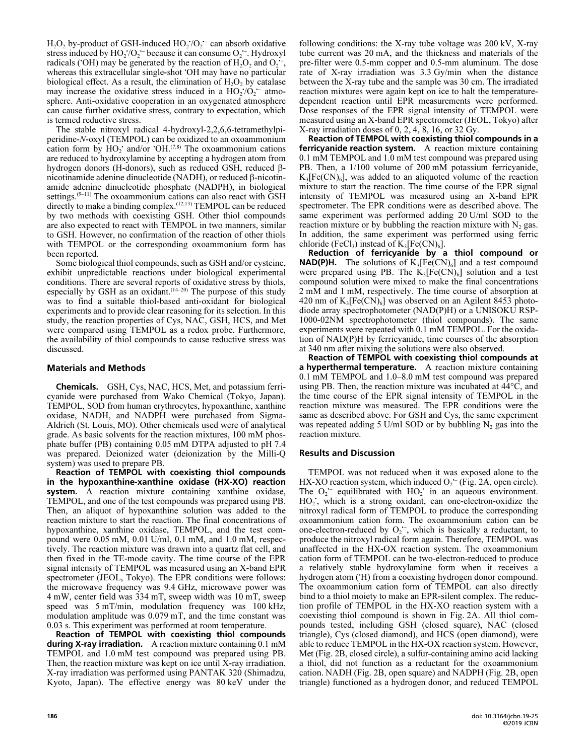$H_2O_2$  by-product of GSH-induced  $HO_2/O_2$  can absorb oxidative • stress induced by  $HO_2^-/O_2^-$  because it can consume  $O_2^-$ . Hydroxyl • rł<br>.radicals ('OH) may be generated by the reaction of  $H_2O_2$  and  $O_2^{\text{-}}$ ,  $\frac{v}{y}$ whereas this extracellular single-shot • OH may have no particular biological effect. As a result, the elimination of  $H_2O_2$  by catalase may increase the oxidative stress induced in a  $HO_2/O_2$  atmou<br>a1<br>-sphere. Anti-oxidative cooperation in an oxygenated atmosphere can cause further oxidative stress, contrary to expectation, which is termed reductive stress.

The stable nitroxyl radical 4-hydroxyl-2,2,6,6-tetramethylpiperidine-N-oxyl (TEMPOL) can be oxidized to an oxoammonium cation form by  $HO_2$  and/or  $OH^{(7,8)}$ . The oxoammonium cations are reduced to hydroxylamine by accepting a hydrogen atom from hydrogen donors (H-donors), such as reduced GSH, reduced βnicotinamide adenine dinucleotide (NADH), or reduced  $\beta$ -nicotinamide adenine dinucleotide phosphate (NADPH), in biological settings.<sup>(9–11)</sup> The oxoammonium cations can also react with GSH directly to make a binding complex.(12,13) TEMPOL can be reduced by two methods with coexisting GSH. Other thiol compounds are also expected to react with TEMPOL in two manners, similar to GSH. However, no confirmation of the reaction of other thiols with TEMPOL or the corresponding oxoammonium form has been reported.

Some biological thiol compounds, such as GSH and/or cysteine, exhibit unpredictable reactions under biological experimental conditions. There are several reports of oxidative stress by thiols, especially by GSH as an oxidant. $(14-20)$  The purpose of this study was to find a suitable thiol-based anti-oxidant for biological experiments and to provide clear reasoning for its selection. In this study, the reaction properties of Cys, NAC, GSH, HCS, and Met were compared using TEMPOL as a redox probe. Furthermore, the availability of thiol compounds to cause reductive stress was discussed.

# Materials and Methods

Chemicals. GSH, Cys, NAC, HCS, Met, and potassium ferricyanide were purchased from Wako Chemical (Tokyo, Japan). TEMPOL, SOD from human erythrocytes, hypoxanthine, xanthine oxidase, NADH, and NADPH were purchased from Sigma-Aldrich (St. Louis, MO). Other chemicals used were of analytical grade. As basic solvents for the reaction mixtures, 100 mM phosphate buffer (PB) containing 0.05 mM DTPA adjusted to pH 7.4 was prepared. Deionized water (deionization by the Milli-Q system) was used to prepare PB.

Reaction of TEMPOL with coexisting thiol compounds in the hypoxanthine-xanthine oxidase (HX-XO) reaction system. A reaction mixture containing xanthine oxidase, TEMPOL, and one of the test compounds was prepared using PB. Then, an aliquot of hypoxanthine solution was added to the reaction mixture to start the reaction. The final concentrations of hypoxanthine, xanthine oxidase, TEMPOL, and the test compound were 0.05 mM, 0.01 U/ml, 0.1 mM, and 1.0 mM, respectively. The reaction mixture was drawn into a quartz flat cell, and then fixed in the TE-mode cavity. The time course of the EPR signal intensity of TEMPOL was measured using an X-band EPR spectrometer (JEOL, Tokyo). The EPR conditions were follows: the microwave frequency was 9.4 GHz, microwave power was 4 mW, center field was 334 mT, sweep width was 10 mT, sweep speed was 5 mT/min, modulation frequency was 100 kHz, modulation amplitude was 0.079 mT, and the time constant was 0.03 s. This experiment was performed at room temperature.

Reaction of TEMPOL with coexisting thiol compounds during X-ray irradiation. A reaction mixture containing 0.1 mM TEMPOL and 1.0 mM test compound was prepared using PB. Then, the reaction mixture was kept on ice until X-ray irradiation. X-ray irradiation was performed using PANTAK 320 (Shimadzu, Kyoto, Japan). The effective energy was 80 keV under the following conditions: the X-ray tube voltage was 200 kV, X-ray tube current was 20 mA, and the thickness and materials of the pre-filter were 0.5-mm copper and 0.5-mm aluminum. The dose rate of X-ray irradiation was 3.3 Gy/min when the distance between the X-ray tube and the sample was 30 cm. The irradiated reaction mixtures were again kept on ice to halt the temperaturedependent reaction until EPR measurements were performed. Dose responses of the EPR signal intensity of TEMPOL were measured using an X-band EPR spectrometer (JEOL, Tokyo) after X-ray irradiation doses of 0, 2,  $4, 8, 16$ , or 32 Gy.

Reaction of TEMPOL with coexisting thiol compounds in a **ferricyanide reaction system.** A reaction mixture containing 0.1 mM TEMPOL and 1.0 mM test compound was prepared using PB. Then, a 1/100 volume of 200 mM potassium ferricyanide,  $K_3[Fe(CN)_6]$ , was added to an aliquoted volume of the reaction mixture to start the reaction. The time course of the EPR signal intensity of TEMPOL was measured using an X-band EPR spectrometer. The EPR conditions were as described above. The same experiment was performed adding 20 U/ml SOD to the reaction mixture or by bubbling the reaction mixture with  $N_2$  gas. In addition, the same experiment was performed using ferric chloride (FeCl<sub>3</sub>) instead of  $K_3$ [Fe(CN)<sub>6</sub>].

Reduction of ferricyanide by a thiol compound or **NAD(P)H.** The solutions of  $K_3[Fe(CN)_6]$  and a test compound were prepared using PB. The  $K_3[Fe(CN)_6]$  solution and a test compound solution were mixed to make the final concentrations 2 mM and 1 mM, respectively. The time course of absorption at 420 nm of  $K_3[Fe(CN)_6]$  was observed on an Agilent 8453 photodiode array spectrophotometer (NAD(P)H) or a UNISOKU RSP-1000-02NM spectrophotometer (thiol compounds). The same experiments were repeated with 0.1 mM TEMPOL. For the oxidation of NAD(P)H by ferricyanide, time courses of the absorption at 340 nm after mixing the solutions were also observed.

Reaction of TEMPOL with coexisting thiol compounds at a hyperthermal temperature. A reaction mixture containing 0.1 mM TEMPOL and 1.0–8.0 mM test compound was prepared using PB. Then, the reaction mixture was incubated at 44°C, and the time course of the EPR signal intensity of TEMPOL in the reaction mixture was measured. The EPR conditions were the same as described above. For GSH and Cys, the same experiment was repeated adding 5 U/ml SOD or by bubbling  $N_2$  gas into the reaction mixture.

# Results and Discussion

TEMPOL was not reduced when it was exposed alone to the HX-XO reaction system, which induced  $O_2$ <sup>--</sup> (Fig. 2A, open circle). .<br>.<br>. The  $O_2$  equilibrated with  $HO_2$  in an aqueous environment. P<br>r<br>-- $HO_2$ ; which is a strong oxidant, can one-electron-oxidize the nitroxyl radical form of TEMPOL to produce the corresponding oxoammonium cation form. The oxoammonium cation can be one-electron-reduced by  $O_2$ ; which is basically a reductant, to الا<br>--<br>-produce the nitroxyl radical form again. Therefore, TEMPOL was unaffected in the HX-OX reaction system. The oxoammonium cation form of TEMPOL can be two-electron-reduced to produce a relatively stable hydroxylamine form when it receives a hydrogen atom ('H) from a coexisting hydrogen donor compound. The oxoammonium cation form of TEMPOL can also directly bind to a thiol moiety to make an EPR-silent complex. The reduction profile of TEMPOL in the HX-XO reaction system with a coexisting thiol compound is shown in Fig. 2A. All thiol compounds tested, including GSH (closed square), NAC (closed triangle), Cys (closed diamond), and HCS (open diamond), were able to reduce TEMPOL in the HX-OX reaction system. However, Met (Fig. 2B, closed circle), a sulfur-containing amino acid lacking a thiol, did not function as a reductant for the oxoammonium cation. NADH (Fig. 2B, open square) and NADPH (Fig. 2B, open triangle) functioned as a hydrogen donor, and reduced TEMPOL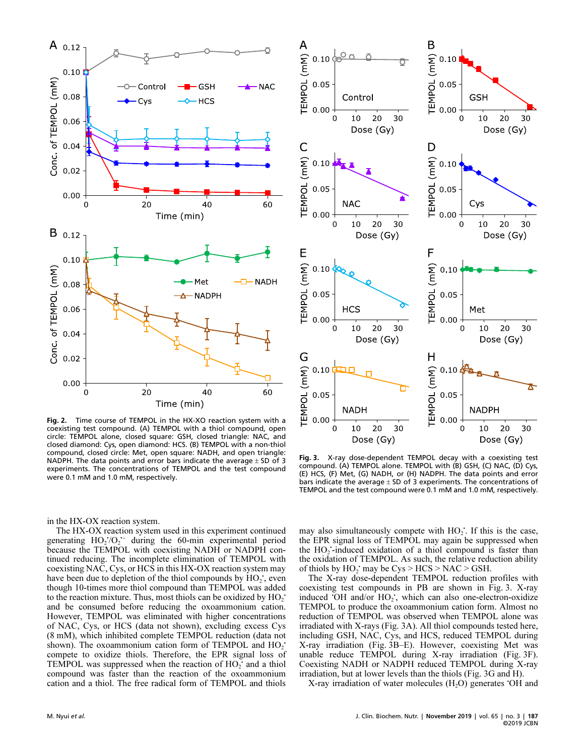

Fig. 2. Time course of TEMPOL in the HX-coexisting test compound. (A) TEMPOL with a thiol compound, open Fig. 2. Time course of TEMPOL in the HX-XO reaction system with a circle: TEMPOL alone, closed square: GSH, closed triangle: NAC, and closed diamond: Cys, open diamond: HCS. (B) TEMPOL with a non-thiol compound, closed circle: Met, open square: NADH, and open triangle: NADPH. The data points and error bars indicate the average  $\pm$  SD of 3 experiments. The concentrations of TEMPOL and the test compound were 0.1 mM and 1.0 mM, respectively.

in the HX-OX reaction system.

The HX-OX reaction system used in this experiment continued generating  $HO_2$ <sup>+</sup> $O_2$ <sup>+-</sup> during the 60-min experimental period 0<br>ti<br>-because the TEMPOL with coexisting NADH or NADPH continued reducing. The incomplete elimination of TEMPOL with coexisting NAC, Cys, or HCS in this HX-OX reaction system may have been due to depletion of the thiol compounds by  $HO_2$ , even though 10-times more thiol compound than TEMPOL was added to the reaction mixture. Thus, most thiols can be oxidized by  $HO_2$ <sup>+</sup> and be consumed before reducing the oxoammonium cation. However, TEMPOL was eliminated with higher concentrations of NAC, Cys, or HCS (data not shown), excluding excess Cys (8 mM), which inhibited complete TEMPOL reduction (data not shown). The oxoammonium cation form of TEMPOL and  $HO_2$ <sup>+</sup> compete to oxidize thiols. Therefore, the EPR signal loss of TEMPOL was suppressed when the reaction of HO<sub>2</sub> and a thiol compound was faster than the reaction of the oxoammonium cation and a thiol. The free radical form of TEMPOL and thiols



Fig. 3. X-ray dose-dependent TEMPOL decay with a coexisting test compound. (A) TEMPOL alone. TEMPOL with (B) GSH, (C) NAC, (D) Cys, (E) HCS, (F) Met, (G) NADH, or (H) NADPH. The data points and error bars indicate the average  $\pm$  SD of 3 experiments. The concentrations of TEMPOL and the test compound were 0.1 mM and 1.0 mM, respectively.

may also simultaneously compete with  $HO_2$ . If this is the case, the EPR signal loss of TEMPOL may again be suppressed when the  $HO_2$ -induced oxidation of a thiol compound is faster than the oxidation of TEMPOL. As such, the relative reduction ability of thiols by  $HO_2$  may be  $Cys > HCS > NAC > GSH$ .

The X-ray dose-dependent TEMPOL reduction profiles with coexisting test compounds in PB are shown in Fig. 3. X-ray induced 'OH and/or HO<sub>2</sub>', which can also one-electron-oxidize TEMPOL to produce the oxoammonium cation form. Almost no reduction of TEMPOL was observed when TEMPOL alone was irradiated with X-rays (Fig. 3A). All thiol compounds tested here, including GSH, NAC, Cys, and HCS, reduced TEMPOL during X-ray irradiation (Fig. 3B–E). However, coexisting Met was unable reduce TEMPOL during X-ray irradiation (Fig. 3F). Coexisting NADH or NADPH reduced TEMPOL during X-ray irradiation, but at lower levels than the thiols (Fig. 3G and H).

X-ray irradiation of water molecules  $(H_2O)$  generates 'OH and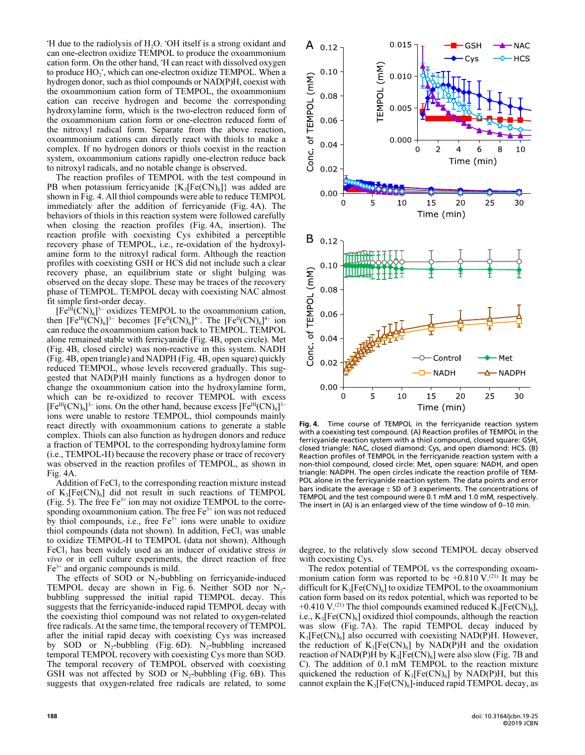$H$  due to the radiolysis of  $H_2O$ . OH itself is a strong oxidant and can one-electron oxidize TEMPOL to produce the oxoammonium cation form. On the other hand, 'H can react with dissolved oxygen to produce  $HO_2$ , which can one-electron oxidize TEMPOL. When a hydrogen donor, such as thiol compounds or NAD(P)H, coexist with the oxoammonium cation form of TEMPOL, the oxoammonium cation can receive hydrogen and become the corresponding hydroxylamine form, which is the two-electron reduced form of the oxoammonium cation form or one-electron reduced form of the nitroxyl radical form. Separate from the above reaction, oxoammonium cations can directly react with thiols to make a complex. If no hydrogen donors or thiols coexist in the reaction system, oxoammonium cations rapidly one-electron reduce back to nitroxyl radicals, and no notable change is observed.

The reaction profiles of TEMPOL with the test compound in PB when potassium ferricyanide  ${K_3[Fe(CN)_6]}$  was added are shown in Fig. 4. All thiol compounds were able to reduce TEMPOL immediately after the addition of ferricyanide (Fig. 4A). The behaviors of thiols in this reaction system were followed carefully when closing the reaction profiles (Fig. 4A, insertion). The reaction profile with coexisting Cys exhibited a perceptible recovery phase of TEMPOL, i.e., re-oxidation of the hydroxylamine form to the nitroxyl radical form. Although the reaction profiles with coexisting GSH or HCS did not include such a clear recovery phase, an equilibrium state or slight bulging was observed on the decay slope. These may be traces of the recovery phase of TEMPOL. TEMPOL decay with coexisting NAC almost fit simple first-order decay. ie<br>P<br>--

 $[Fe^{III}(CN)_6]$ <sup>3-</sup> oxidizes TEMPOL to the oxoammonium cation, then  $[Fe^{III}(CN)_6]^{3-}$  becomes  $[Fe^{II}(CN)_6]^{4-}$ . The  $[Fe^{II}(CN)_6]^{4-}$  ion л<br>-d<br>эх 11<br>1e<br>4ш<br>:а<br>4can reduce the oxoammonium cation back to TEMPOL. TEMPOL alone remained stable with ferricyanide (Fig. 4B, open circle). Met (Fig. 4B, closed circle) was non-reactive in this system. NADH (Fig. 4B, open triangle) and NADPH (Fig. 4B, open square) quickly reduced TEMPOL, whose levels recovered gradually. This suggested that NAD(P)H mainly functions as a hydrogen donor to change the oxoammonium cation into the hydroxylamine form, which can be re-oxidized to recover TEMPOL with excess  $[Fe^{III}(CN)_6]$ <sup>3-</sup> ions. On the other hand, because excess  $[Fe^{III}(CN)_6]$  $rac{1}{c}$ <br>3lo<br>1,<br>3ions were unable to restore TEMPOL, thiol compounds mainly react directly with oxoammonium cations to generate a stable complex. Thiols can also function as hydrogen donors and reduce a fraction of TEMPOL to the corresponding hydroxylamine form (i.e., TEMPOL-H) because the recovery phase or trace of recovery was observed in the reaction profiles of TEMPOL, as shown in Fig. 4A.

Addition of  $FeCl<sub>3</sub>$  to the corresponding reaction mixture instead of  $K_3[Fe(CN)_6]$  did not result in such reactions of TEMPOL (Fig. 5). The free  $Fe^{3+}$  ion may not oxidize TEMPOL to the corresponding oxoammonium cation. The free Fe<sup>3+</sup> ion was not reduced by thiol compounds, i.e., free  $Fe<sup>3+</sup>$  ions were unable to oxidize thiol compounds (data not shown). In addition,  $FeCl<sub>3</sub>$  was unable to oxidize TEMPOL-H to TEMPOL (data not shown). Although FeCl<sub>3</sub> has been widely used as an inducer of oxidative stress in vivo or in cell culture experiments, the direct reaction of free  $Fe<sup>3+</sup>$  and organic compounds is mild.

The effects of SOD or  $N_2$ -bubbling on ferricyanide-induced TEMPOL decay are shown in Fig. 6. Neither SOD nor  $N_2$ bubbling suppressed the initial rapid TEMPOL decay. This suggests that the ferricyanide-induced rapid TEMPOL decay with the coexisting thiol compound was not related to oxygen-related free radicals. At the same time, the temporal recovery of TEMPOL after the initial rapid decay with coexisting Cys was increased by SOD or  $N_2$ -bubbling (Fig. 6D).  $N_2$ -bubbling increased temporal TEMPOL recovery with coexisting Cys more than SOD. The temporal recovery of TEMPOL observed with coexisting GSH was not affected by SOD or  $N_2$ -bubbling (Fig. 6B). This suggests that oxygen-related free radicals are related, to some



Fig. 4. Time course of TEMPOL in the ferricyanide reaction system with a coexisting test compound. (A) Reaction profiles of TEMPOL in the ferricyanide reaction system with a thiol compound, closed square: GSH, closed triangle: NAC, closed diamond: Cys, and open diamond: HCS. (B) Reaction profiles of TEMPOL in the ferricyanide reaction system with a non-thiol compound, closed circle: Met, open square: NADH, and open triangle: NADPH. The open circles indicate the reaction profile of TEM- POL alone in the ferricyanide reaction system. The data points and error bars indicate the average  $\pm$  SD of 3 experiments. The concentrations of TEMPOL and the test compound were 0.1 mM and 1.0 mM, respectively. The insert in (A) is an enlarged view of the time window of 0–10 min.

degree, to the relatively slow second TEMPOL decay observed with coexisting Cys.

The redox potential of TEMPOL vs the corresponding oxoammonium cation form was reported to be  $+0.810$  V.<sup>(21)</sup> It may be difficult for  $K_3[Fe(CN)_6]$  to oxidize TEMPOL to the oxoammonium cation form based on its redox potential, which was reported to be +0.410 V.<sup>(21)</sup> The thiol compounds examined reduced  $\bar{K_3}$ [Fe(CN)<sub>6</sub>], i.e.,  $K_3[Fe(CN)_6]$  oxidized thiol compounds, although the reaction was slow (Fig. 7A). The rapid TEMPOL decay induced by  $K_3[Fe(CN)_6]$  also occurred with coexisting NAD(P)H. However, the reduction of  $K_3[Fe(CN)_6]$  by NAD(P)H and the oxidation reaction of NAD(P)H by  $K_3[Fe(CN)_6]$  were also slow (Fig. 7B and C). The addition of 0.1 mM TEMPOL to the reaction mixture quickened the reduction of  $K_3[Fe(CN)_6]$  by NAD(P)H, but this cannot explain the  $K_3[Fe(CN)_6]$ -induced rapid TEMPOL decay, as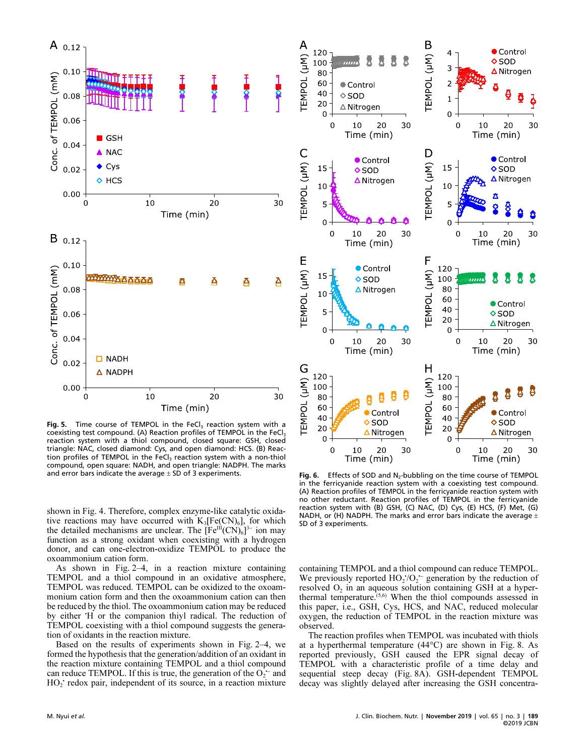

Fig. 5. Time course of TEMPOL in the FeCl $_3$  reaction system with a coexisting test compound. (A) Reaction profiles of TEMPOL in the FeCl<sub>3</sub> reaction system with a thiol compound, closed square: GSH, closed triangle: NAC, closed diamond: Cys, and open diamond: HCS. (B) Reac tion profiles of TEMPOL in the FeCl<sub>3</sub> reaction system with a non-thiol compound, open square: NADH, and open triangle: NADPH. The marks and error bars indicate the average  $\pm$  SD of 3 experiments.

shown in Fig. 4. Therefore, complex enzyme-like catalytic oxidative reactions may have occurred with  $K_3[Fe(CN)_6]$ , for which the detailed mechanisms are unclear. The  $[Fe^{III}(CN)_6]^{3-}$  ion may y1<br>f function as a strong oxidant when coexisting with a hydrogen donor, and can one-electron-oxidize TEMPOL to produce the oxoammonium cation form.

As shown in Fig. 2–4, in a reaction mixture containing TEMPOL and a thiol compound in an oxidative atmosphere, TEMPOL was reduced. TEMPOL can be oxidized to the oxoammonium cation form and then the oxoammonium cation can then be reduced by the thiol. The oxoammonium cation may be reduced by either 'H or the companion thiyl radical. The reduction of TEMPOL coexisting with a thiol compound suggests the generation of oxidants in the reaction mixture.

Based on the results of experiments shown in Fig. 2–4, we formed the hypothesis that the generation/addition of an oxidant in the reaction mixture containing TEMPOL and a thiol compound can reduce TEMPOL. If this is true, the generation of the  $O_2$ <sup> $-$ </sup> and +,<br>a<br>0. HO<sub>2</sub> redox pair, independent of its source, in a reaction mixture



**Fig. 6.** Effects of SOD and  $N_2$ -bubbling on the time course of TEMPOL in the ferricyanide reaction system with a coexisting test compound in the ferricyanide reaction system with a coexisting test compound. (A) Reaction profiles of TEMPOL in the ferricyanide reaction system with no other reductant. Reaction profiles of TEMPOL in the ferricyanide reaction system with (B) GSH, (C) NAC, (D) Cys, (E) HCS, (F) Met, (G) NADH, or (H) NADPH. The marks and error bars indicate the average  $\pm$ SD of 3 experiments.

containing TEMPOL and a thiol compound can reduce TEMPOL. We previously reported  $HO_2/O_2$  generation by the reduction of  $\frac{c}{c}$ resolved  $O<sub>2</sub>$  in an aqueous solution containing GSH at a hyperthermal temperature.<sup> $(5,6)$ </sup> When the thiol compounds assessed in this paper, i.e., GSH, Cys, HCS, and NAC, reduced molecular oxygen, the reduction of TEMPOL in the reaction mixture was observed.

The reaction profiles when TEMPOL was incubated with thiols at a hyperthermal temperature (44°C) are shown in Fig. 8. As reported previously, GSH caused the EPR signal decay of TEMPOL with a characteristic profile of a time delay and sequential steep decay (Fig. 8A). GSH-dependent TEMPOL decay was slightly delayed after increasing the GSH concentra-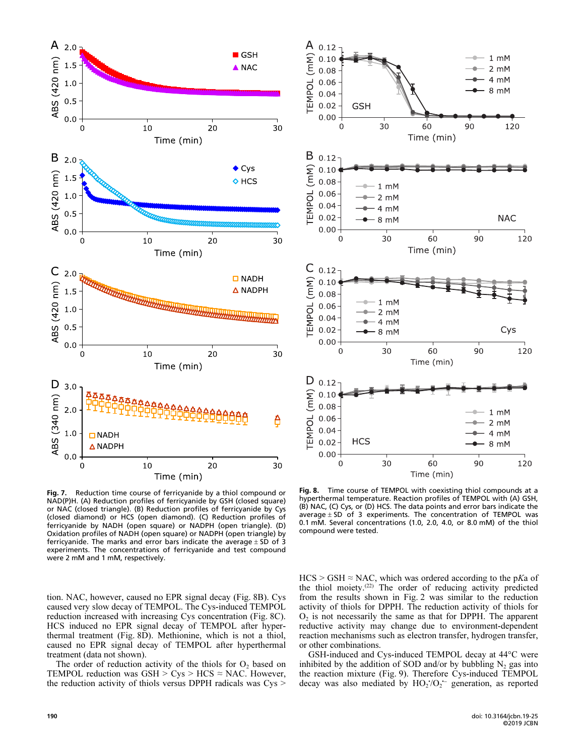



Fig. 7. Reduction time course of ferricyanide by a thiol compound or NAD(P)H. (A) Reduction profiles of ferricyanide by GSH (closed square) or NAC (closed triangle). (B) Reduction profiles of ferricyanide by Cys (closed diamond) or HCS (open diamond). (C) Reduction profiles of ferricyanide by NADH (open square) or NADPH (open triangle). (D) Oxidation profiles of NADH (open square) or NADPH (open triangle) by ferricyanide. The marks and error bars indicate the average  $\pm$  SD of 3 experiments. The concentrations of ferricyanide and test compound were 2 mM and 1 mM, respectively.

tion. NAC, however, caused no EPR signal decay (Fig. 8B). Cys caused very slow decay of TEMPOL. The Cys-induced TEMPOL reduction increased with increasing Cys concentration (Fig. 8C). HCS induced no EPR signal decay of TEMPOL after hyperthermal treatment (Fig. 8D). Methionine, which is not a thiol, caused no EPR signal decay of TEMPOL after hyperthermal treatment (data not shown).

The order of reduction activity of the thiols for  $O<sub>2</sub>$  based on TEMPOL reduction was  $GSH > Cys > HCS \approx NAC$ . However, the reduction activity of thiols versus DPPH radicals was Cys >

Fig. 8. Time course of TEMPOL with coexisting thiol compounds at a hyperthermal temperature. Reaction profiles of TEMPOL with (A) GSH, (B) NAC, (C) Cys, or (D) HCS. The data points and error bars indicate the average  $\pm$  SD of 3 experiments. The concentration of TEMPOL was 0.1 mM. Several concentrations (1.0, 2.0, 4.0, or 8.0 mM) of the thiol compound were tested.

 $HCS > GSH \approx NAC$ , which was ordered according to the pKa of the thiol moiety.<sup>(22)</sup> The order of reducing activity predicted from the results shown in Fig. 2 was similar to the reduction activity of thiols for DPPH. The reduction activity of thiols for  $O<sub>2</sub>$  is not necessarily the same as that for DPPH. The apparent reductive activity may change due to environment-dependent reaction mechanisms such as electron transfer, hydrogen transfer, or other combinations.

GSH-induced and Cys-induced TEMPOL decay at 44°C were inhibited by the addition of SOD and/or by bubbling  $N_2$  gas into the reaction mixture (Fig. 9). Therefore Cys-induced TEMPOL decay was also mediated by  $HO_2'O_2^-$  generation, as reported נני<br>or<br>--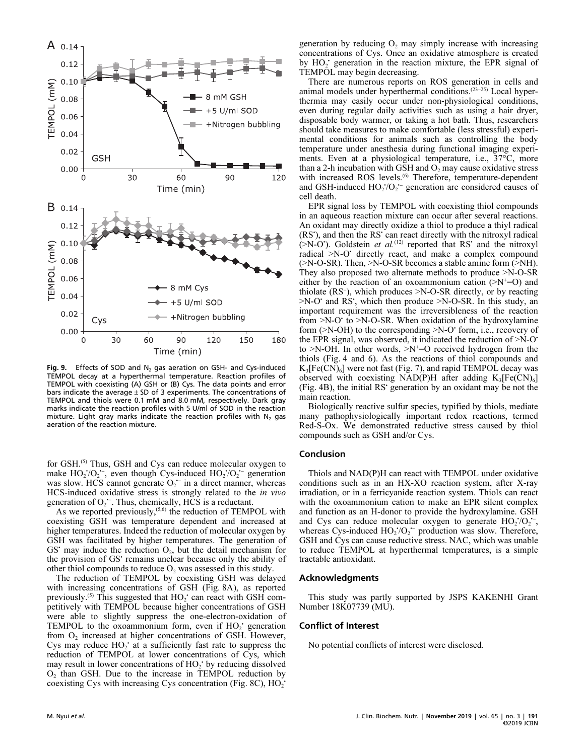

Fig. 9. Effects of SOD and N<sub>2</sub> gas aeration on GSH- and Cys-induced<br>TEMPOL decay at a bynerthermal temperature. Reaction profiles of TEMPOL decay at a hyperthermal temperature. Reaction profiles of TEMPOL with coexisting (A) GSH or (B) Cys. The data points and error bars indicate the average  $\pm$  SD of 3 experiments. The concentrations of TEMPOL and thiols were 0.1 mM and 8.0 mM, respectively. Dark gray marks indicate the reaction profiles with 5 U/ml of SOD in the reaction mixture. Light gray marks indicate the reaction profiles with  $N_2$  gas aeration of the reaction mixture.

for GSH.<sup>(5)</sup> Thus, GSH and Cys can reduce molecular oxygen to make  $HO_2/O_2^-$ , even though Cys-induced  $HO_2/O_2^-$  generation u<br>.\_ a<br>. was slow. HCS cannot generate  $O_2$ <sup>-</sup> in a direct manner, whereas n<br>-ii<br>--HCS-induced oxidative stress is strongly related to the in vivo generation of  $O_2$ <sup>--</sup>. Thus, chemically, HCS is a reductant. •<br>ن:<br>+-

As we reported previously,<sup>(5,6)</sup> the reduction of TEMPOL with coexisting GSH was temperature dependent and increased at higher temperatures. Indeed the reduction of molecular oxygen by GSH was facilitated by higher temperatures. The generation of GS may induce the reduction  $O_2$ , but the detail mechanism for the provision of GS' remains unclear because only the ability of other thiol compounds to reduce  $O_2$  was assessed in this study.

The reduction of TEMPOL by coexisting GSH was delayed with increasing concentrations of GSH (Fig. 8A), as reported previously.<sup>(5)</sup> This suggested that  $HO_2$  can react with GSH competitively with TEMPOL because higher concentrations of GSH were able to slightly suppress the one-electron-oxidation of TEMPOL to the oxoammonium form, even if  $HO_2$ <sup>+</sup> generation from  $O_2$  increased at higher concentrations of GSH. However, Cys may reduce  $HO_2$  at a sufficiently fast rate to suppress the reduction of TEMPOL at lower concentrations of Cys, which may result in lower concentrations of HO<sub>2</sub> by reducing dissolved O<sub>2</sub> than GSH. Due to the increase in TEMPOL reduction by coexisting Cys with increasing Cys concentration (Fig. 8C),  $HO_2$ <sup>+</sup>

generation by reducing  $O_2$  may simply increase with increasing concentrations of Cys. Once an oxidative atmosphere is created by HO<sub>2</sub> generation in the reaction mixture, the EPR signal of TEMPOL may begin decreasing.

There are numerous reports on ROS generation in cells and animal models under hyperthermal conditions.<sup>(23-25)</sup> Local hyperthermia may easily occur under non-physiological conditions, even during regular daily activities such as using a hair dryer, disposable body warmer, or taking a hot bath. Thus, researchers should take measures to make comfortable (less stressful) experimental conditions for animals such as controlling the body temperature under anesthesia during functional imaging experiments. Even at a physiological temperature, i.e., 37°C, more than a 2-h incubation with GSH and  $O_2$  may cause oxidative stress with increased ROS levels.<sup>(6)</sup> Therefore, temperature-dependent and GSH-induced  $HO_2'O_2$ <sup>-</sup> generation are considered causes of 0<br>5<br>-cell death.

EPR signal loss by TEMPOL with coexisting thiol compounds in an aqueous reaction mixture can occur after several reactions. An oxidant may directly oxidize a thiol to produce a thiyl radical (RS'), and then the RS' can react directly with the nitroxyl radical  $(\geq N$ -O<sup>\*</sup>). Goldstein *et al.*<sup>(12)</sup> reported that RS<sup>\*</sup> and the nitroxyl radical >N-O• directly react, and make a complex compound  $($ >N-O-SR). Then, >N-O-SR becomes a stable amine form  $($ >NH). They also proposed two alternate methods to produce >N-O-SR either by the reaction of an oxoammonium cation  $(>$ N<sup>+=</sup>O) and ( $\ge$ N-O-SR). Then,  $\ge$ N-O-SR becomes a stable annihe form ( $\ge$ Nr1).<br>They also proposed two alternate methods to produce  $\ge$ N-O-SR<br>either by the reaction of an oxoammonium cation ( $\ge$ N<sup>+</sup>=O) and<br>thiolate (RS<sup>-</sup>), whic >N-O<sup>•</sup> and RS<sup>•</sup>, which then produce >N-O-SR. In this study, an important requirement was the irreversibleness of the reaction from >N-O<sup>·</sup> to >N-O-SR. When oxidation of the hydroxylamine form (>N-OH) to the corresponding >N-O' form, i.e., recovery of the EPR signal, was observed, it indicated the reduction of  $>N-O$ to  $>N$ -OH. In other words,  $>N^+=O$  received hydrogen from the thiols (Fig. 4 and 6). As the reactions of thiol compounds and  $K_3[Fe(CN)_6]$  were not fast (Fig. 7), and rapid TEMPOL decay was observed with coexisting NAD(P)H after adding  $K_3[Fe(CN)_6]$ (Fig. 4B), the initial RS• generation by an oxidant may be not the main reaction.

Biologically reactive sulfur species, typified by thiols, mediate many pathophysiologically important redox reactions, termed Red-S-Ox. We demonstrated reductive stress caused by thiol compounds such as GSH and/or Cys.

#### Conclusion

Thiols and NAD(P)H can react with TEMPOL under oxidative conditions such as in an HX-XO reaction system, after X-ray irradiation, or in a ferricyanide reaction system. Thiols can react with the oxoammonium cation to make an EPR silent complex and function as an H-donor to provide the hydroxylamine. GSH and Cys can reduce molecular oxygen to generate  $HO_2/O_2$ ; с<br>ээ<br>-whereas Cys-induced  $HO_2/O_2$ <sup>-</sup> production was slow. Therefore, |<br>|<br>|<br>|-GSH and Cys can cause reductive stress. NAC, which was unable to reduce TEMPOL at hyperthermal temperatures, is a simple tractable antioxidant.

#### Acknowledgments

This study was partly supported by JSPS KAKENHI Grant Number 18K07739 (MU).

## Conflict of Interest

No potential conflicts of interest were disclosed.